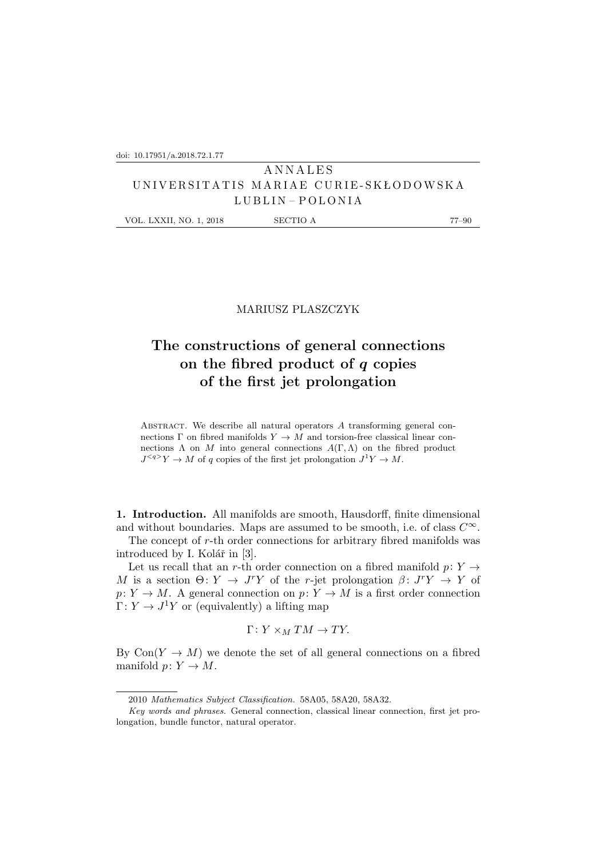## **ANNALES** U N I V E R S I T A T I S M A R I A E C U R I E - S K Ł O D OW S K A LUBLIN – POLONIA

VOL. LXXII, NO. 1, 2018 SECTIO A 77–90

### MARIUSZ PLASZCZYK

# **The constructions of general connections on the fibred product of** q **copies of the first jet prolongation**

ABSTRACT. We describe all natural operators  $A$  transforming general connections  $\Gamma$  on fibred manifolds  $Y \to M$  and torsion-free classical linear connections  $\Lambda$  on M into general connections  $A(\Gamma,\Lambda)$  on the fibred product  $J^{}Y \to M$  of q copies of the first jet prolongation  $J^1Y \to M$ .

**1. Introduction.** All manifolds are smooth, Hausdorff, finite dimensional and without boundaries. Maps are assumed to be smooth, i.e. of class  $C^{\infty}$ .

The concept of r-th order connections for arbitrary fibred manifolds was introduced by I. Kolář in [3].

Let us recall that an r-th order connection on a fibred manifold  $p: Y \rightarrow$ M is a section  $\Theta: Y \to J^r Y$  of the r-jet prolongation  $\beta: J^r Y \to Y$  of  $p: Y \to M$ . A general connection on  $p: Y \to M$  is a first order connection  $\Gamma: Y \to J^1 Y$  or (equivalently) a lifting map

$$
\Gamma\colon Y\times_M TM\to TY.
$$

By  $Con(Y \to M)$  we denote the set of all general connections on a fibred manifold  $p: Y \to M$ .

<sup>2010</sup> *Mathematics Subject Classification.* 58A05, 58A20, 58A32.

*Key words and phrases.* General connection, classical linear connection, first jet prolongation, bundle functor, natural operator.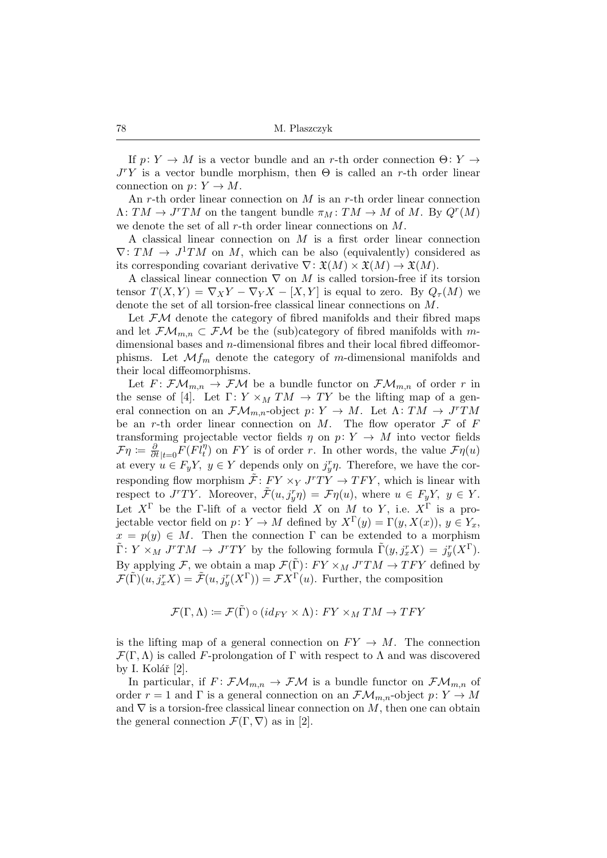If  $p: Y \to M$  is a vector bundle and an r-th order connection  $\Theta: Y \to$  $J<sup>r</sup>Y$  is a vector bundle morphism, then  $\Theta$  is called an r-th order linear connection on  $p: Y \to M$ .

An r-th order linear connection on  $M$  is an r-th order linear connection  $\Lambda: TM \to J^rTM$  on the tangent bundle  $\pi_M: TM \to M$  of M. By  $Q^r(M)$ we denote the set of all r-th order linear connections on M.

A classical linear connection on M is a first order linear connection  $\nabla: TM \to J^1TM$  on M, which can be also (equivalently) considered as its corresponding covariant derivative  $\nabla: \mathfrak{X}(M) \times \mathfrak{X}(M) \to \mathfrak{X}(M)$ .

A classical linear connection  $\nabla$  on M is called torsion-free if its torsion tensor  $T(X, Y) = \nabla_X Y - \nabla_Y X - [X, Y]$  is equal to zero. By  $Q_{\tau}(M)$  we denote the set of all torsion-free classical linear connections on M.

Let  $\mathcal{F}M$  denote the category of fibred manifolds and their fibred maps and let  $\mathcal{F}\mathcal{M}_{m,n} \subset \mathcal{F}\mathcal{M}$  be the (sub)category of fibred manifolds with mdimensional bases and n-dimensional fibres and their local fibred diffeomorphisms. Let  $\mathcal{M}_{m}$  denote the category of m-dimensional manifolds and their local diffeomorphisms.

Let  $F: \mathcal{F}\mathcal{M}_{m,n} \to \mathcal{F}\mathcal{M}$  be a bundle functor on  $\mathcal{F}\mathcal{M}_{m,n}$  of order r in the sense of [4]. Let  $\Gamma: Y \times_M TM \to TY$  be the lifting map of a general connection on an  $\mathcal{FM}_{m,n}$ -object  $p: Y \to M$ . Let  $\Lambda: TM \to J^rTM$ be an r-th order linear connection on M. The flow operator  $\mathcal F$  of  $F$ transforming projectable vector fields  $\eta$  on  $p: Y \to M$  into vector fields  $\mathcal{F}\eta := \frac{\partial}{\partial t}\Big|_{t=0}F(F\overline{l}_t^{\eta})$  on  $FY$  is of order r. In other words, the value  $\mathcal{F}\eta(u)$ at every  $u \in F_yY$ ,  $y \in Y$  depends only on  $j_y^r \eta$ . Therefore, we have the corresponding flow morphism  $\tilde{\mathcal{F}}: FY \times_Y J^rTY \to TFY$ , which is linear with respect to  $J^rTY$ . Moreover,  $\tilde{\mathcal{F}}(u, j_y^r \eta) = \mathcal{F}\eta(u)$ , where  $u \in F_yY$ ,  $y \in Y$ . Let  $X^{\Gamma}$  be the Γ-lift of a vector field X on M to Y, i.e.  $X^{\Gamma}$  is a projectable vector field on  $p: Y \to M$  defined by  $X^{\Gamma}(y) = \Gamma(y, X(x)), y \in Y_x$ ,  $x = p(y) \in M$ . Then the connection  $\Gamma$  can be extended to a morphism  $\tilde{\Gamma}: Y \times_M J^rTM \to J^rTY$  by the following formula  $\tilde{\Gamma}(y, j_x^rX) = j_y^r(X^{\Gamma}).$ By applying F, we obtain a map  $\mathcal{F}(\tilde{\Gamma})$ :  $FY \times_M J^rTM \to TFY$  defined by  $\mathcal{F}(\tilde{\Gamma})(u, j_x^r X) = \tilde{\mathcal{F}}(u, j_y^r (X^{\Gamma})) = \mathcal{F} X^{\Gamma}(u)$ . Further, the composition

$$
\mathcal{F}(\Gamma,\Lambda) \coloneqq \mathcal{F}(\tilde{\Gamma}) \circ (id_{FY} \times \Lambda) \colon FY \times_M TM \to TFY
$$

is the lifting map of a general connection on  $FY \to M$ . The connection  $\mathcal{F}(\Gamma,\Lambda)$  is called F-prolongation of  $\Gamma$  with respect to  $\Lambda$  and was discovered by I. Kolář  $|2|$ .

In particular, if  $F: \mathcal{F}\mathcal{M}_{m,n} \to \mathcal{F}\mathcal{M}$  is a bundle functor on  $\mathcal{F}\mathcal{M}_{m,n}$  of order  $r = 1$  and  $\Gamma$  is a general connection on an  $\mathcal{FM}_{m,n}$ -object  $p: Y \to M$ and  $\nabla$  is a torsion-free classical linear connection on M, then one can obtain the general connection  $\mathcal{F}(\Gamma,\nabla)$  as in [2].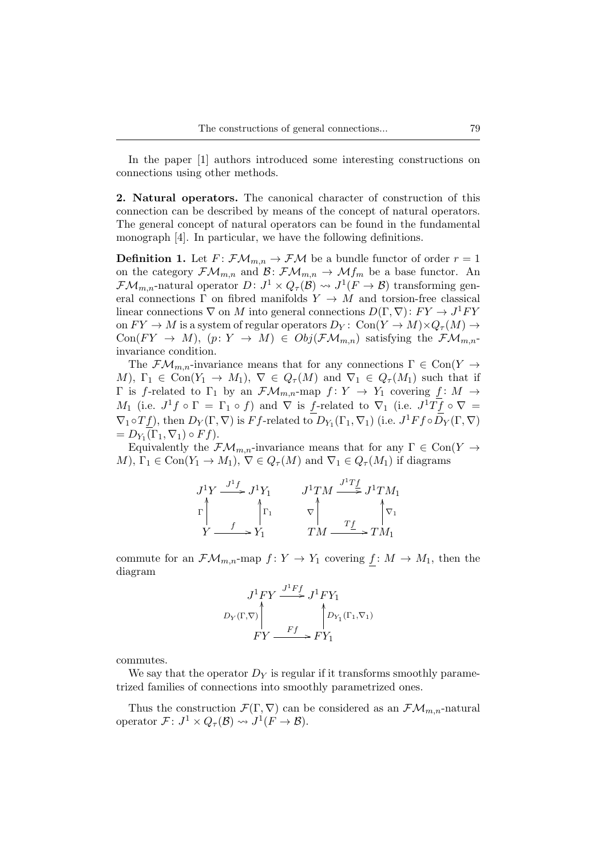In the paper [1] authors introduced some interesting constructions on connections using other methods.

**2. Natural operators.** The canonical character of construction of this connection can be described by means of the concept of natural operators. The general concept of natural operators can be found in the fundamental monograph [4]. In particular, we have the following definitions.

**Definition 1.** Let  $F: \mathcal{FM}_{m,n} \to \mathcal{FM}$  be a bundle functor of order  $r = 1$ on the category  $\mathcal{FM}_{m,n}$  and  $\mathcal{B}: \mathcal{FM}_{m,n} \to \mathcal{M}f_m$  be a base functor. An  $\mathcal{FM}_{m,n}$ -natural operator  $D: J^1 \times Q_{\tau}(\mathcal{B}) \rightsquigarrow J^1(F \to \mathcal{B})$  transforming general connections  $\Gamma$  on fibred manifolds  $Y \to M$  and torsion-free classical linear connections  $\nabla$  on M into general connections  $D(\Gamma, \nabla) : FY \to J^1 FY$ on  $FY \to M$  is a system of regular operators  $D_Y: \text{Con}(Y \to M) \times Q_\tau(M) \to$  $Con(FY \to M), (p: Y \to M) \in Obj(\mathcal{F}\mathcal{M}_{m,n})$  satisfying the  $\mathcal{F}\mathcal{M}_{m,n}$ invariance condition.

The  $\mathcal{F}\mathcal{M}_{m,n}$ -invariance means that for any connections  $\Gamma \in \text{Con}(Y \to$ M),  $\Gamma_1 \in \text{Con}(Y_1 \to M_1)$ ,  $\nabla \in Q_{\tau}(M)$  and  $\nabla_1 \in Q_{\tau}(M_1)$  such that if  $Γ$  is f-related to Γ<sub>1</sub> by an  $\mathcal{FM}_{m,n}$ -map  $f: Y \to Y_1$  covering  $f: M \to$ M<sub>1</sub> (i.e.  $J^1f \circ \Gamma = \Gamma_1 \circ f$ ) and  $\nabla$  is f-related to  $\nabla_1$  (i.e.  $J^1Tf \circ \nabla =$  $\nabla_1 \circ T_1$ , then  $D_Y(\Gamma, \nabla)$  is Ff-related to  $D_{Y_1}(\Gamma_1, \nabla_1)$  (i.e.  $J^1Ff \circ D_Y(\Gamma, \nabla)$  $= D_{Y_1}(\Gamma_1, \nabla_1) \circ Ff$ ).

Equivalently the  $\mathcal{FM}_{m,n}$ -invariance means that for any  $\Gamma \in \text{Con}(Y \to$ M),  $\Gamma_1 \in \text{Con}(Y_1 \to M_1), \nabla \in Q_{\tau}(M)$  and  $\nabla_1 \in Q_{\tau}(M_1)$  if diagrams

| $\stackrel{J^1f}{\longrightarrow} J^1Y_1$<br>$J^1Y$ | $J^1TM$ | $\frac{J}{\longrightarrow} J^1TM_1$ |
|-----------------------------------------------------|---------|-------------------------------------|
|                                                     |         |                                     |
|                                                     | ŦМ      | - $TM_1$                            |

commute for an  $\mathcal{FM}_{m,n}$ -map  $f: Y \to Y_1$  covering  $f: M \to M_1$ , then the diagram

$$
J^{1}FY \xrightarrow{J^{1}Ff} J^{1}FY_1
$$
  

$$
D_Y(\Gamma, \nabla) \wedge \qquad \qquad \uparrow D_{Y_1}(\Gamma_1, \nabla_1)
$$
  

$$
FY \xrightarrow{Ff} FY_1
$$

commutes.

We say that the operator  $D_Y$  is regular if it transforms smoothly parametrized families of connections into smoothly parametrized ones.

Thus the construction  $\mathcal{F}(\Gamma,\nabla)$  can be considered as an  $\mathcal{F}\mathcal{M}_{m,n}$ -natural operator  $\mathcal{F} \colon J^1 \times Q_{\tau}(\mathcal{B}) \rightsquigarrow J^1(F \to \mathcal{B}).$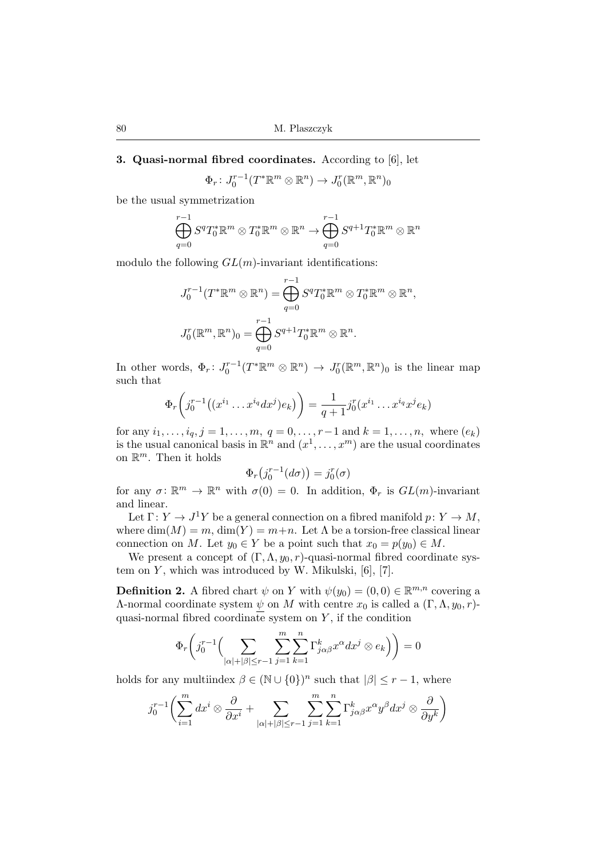### **3. Quasi-normal fibred coordinates.** According to [6], let

$$
\Phi_r: J_0^{r-1}(T^*\mathbb{R}^m \otimes \mathbb{R}^n) \to J_0^{r}(\mathbb{R}^m, \mathbb{R}^n)_0
$$

be the usual symmetrization

$$
\bigoplus_{q=0}^{r-1} S^q T_0^* \mathbb{R}^m \otimes T_0^* \mathbb{R}^m \otimes \mathbb{R}^n \to \bigoplus_{q=0}^{r-1} S^{q+1} T_0^* \mathbb{R}^m \otimes \mathbb{R}^n
$$

modulo the following  $GL(m)$ -invariant identifications:

$$
J_0^{r-1}(T^*\mathbb{R}^m \otimes \mathbb{R}^n) = \bigoplus_{q=0}^{r-1} S^q T_0^*\mathbb{R}^m \otimes T_0^*\mathbb{R}^m \otimes \mathbb{R}^n,
$$
  

$$
J_0^r(\mathbb{R}^m, \mathbb{R}^n)_0 = \bigoplus_{q=0}^{r-1} S^{q+1} T_0^*\mathbb{R}^m \otimes \mathbb{R}^n.
$$

In other words,  $\Phi_r: J_0^{r-1}(T^*\mathbb{R}^m \otimes \mathbb{R}^n) \to J_0^{r}(\mathbb{R}^m, \mathbb{R}^n)$  is the linear map such that

$$
\Phi_r\bigg(j_0^{r-1}\big((x^{i_1}\ldots x^{i_q}dx^j)e_k\big)\bigg) = \frac{1}{q+1}j_0^r(x^{i_1}\ldots x^{i_q}x^je_k)
$$

for any  $i_1, \ldots, i_q, j = 1, \ldots, m, q = 0, \ldots, r-1$  and  $k = 1, \ldots, n$ , where  $(e_k)$ is the usual canonical basis in  $\mathbb{R}^n$  and  $(x^1, \ldots, x^m)$  are the usual coordinates on  $\mathbb{R}^m$ . Then it holds

$$
\Phi_r(j_0^{r-1}(d\sigma)) = j_0^r(\sigma)
$$

for any  $\sigma: \mathbb{R}^m \to \mathbb{R}^n$  with  $\sigma(0) = 0$ . In addition,  $\Phi_r$  is  $GL(m)$ -invariant and linear.

Let  $\Gamma: Y \to J^1Y$  be a general connection on a fibred manifold  $p: Y \to M$ , where  $\dim(M) = m$ ,  $\dim(Y) = m+n$ . Let  $\Lambda$  be a torsion-free classical linear connection on M. Let  $y_0 \in Y$  be a point such that  $x_0 = p(y_0) \in M$ .

We present a concept of  $(\Gamma, \Lambda, y_0, r)$ -quasi-normal fibred coordinate system on  $Y$ , which was introduced by W. Mikulski, [6], [7].

**Definition 2.** A fibred chart  $\psi$  on Y with  $\psi(y_0) = (0, 0) \in \mathbb{R}^{m,n}$  covering a Λ-normal coordinate system  $ψ$  on M with centre  $x_0$  is called a  $(Γ, Λ, y_0, r)$ quasi-normal fibred coordinate system on  $Y$ , if the condition

$$
\Phi_r\bigg(j_0^{r-1}\Big(\sum_{|\alpha|+|\beta|\leq r-1}\sum_{j=1}^m\sum_{k=1}^n\Gamma_{j\alpha\beta}^k x^\alpha dx^j\otimes e_k\Big)\bigg)=0
$$

holds for any multiindex  $\beta \in (\mathbb{N} \cup \{0\})^n$  such that  $|\beta| \leq r - 1$ , where

$$
j_0^{r-1} \left( \sum_{i=1}^m dx^i \otimes \frac{\partial}{\partial x^i} + \sum_{|\alpha|+|\beta| \leq r-1} \sum_{j=1}^m \sum_{k=1}^n \Gamma_{j\alpha\beta}^k x^{\alpha} y^{\beta} dx^j \otimes \frac{\partial}{\partial y^k} \right)
$$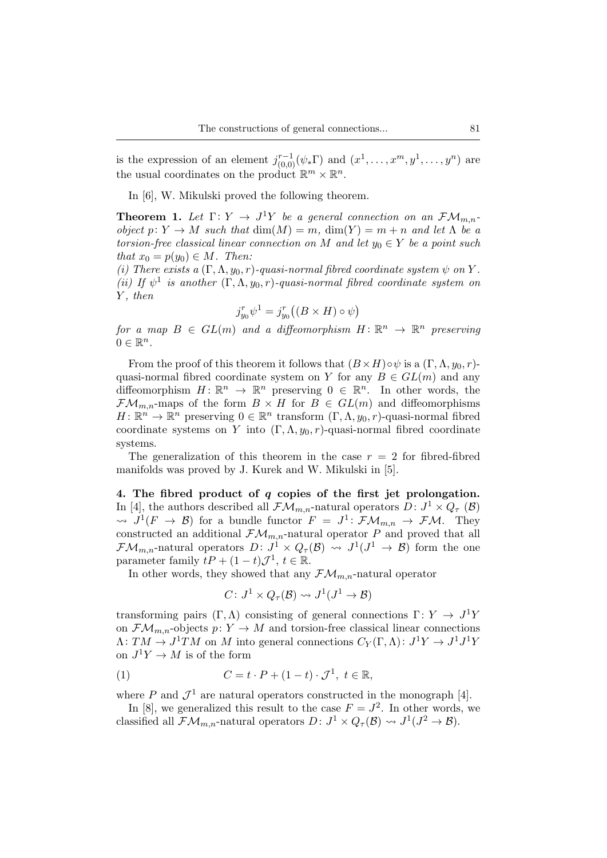is the expression of an element  $j_{(0,0)}^{r-1}(\psi_*\Gamma)$  and  $(x^1,\ldots,x^m,y^1,\ldots,y^n)$  are the usual coordinates on the product  $\mathbb{R}^m \times \mathbb{R}^n$ .

In [6], W. Mikulski proved the following theorem.

**Theorem 1.** Let  $\Gamma: Y \to J^1Y$  be a general connection on an  $\mathcal{FM}_{m,n}$ *object*  $p: Y \to M$  *such that*  $dim(M) = m$ ,  $dim(Y) = m + n$  *and let*  $\Lambda$  *be a torsion-free classical linear connection on* M and let  $y_0 \in Y$  be a point such *that*  $x_0 = p(y_0) \in M$ . Then:

*(i)* There exists a  $(\Gamma, \Lambda, y_0, r)$ -quasi-normal fibred coordinate system  $\psi$  on Y. (*ii*) If  $\psi^1$  is another  $(\Gamma, \Lambda, y_0, r)$ -quasi-normal fibred coordinate system on Y *, then*

$$
j_{y_0}^r \psi^1 = j_{y_0}^r ((B \times H) \circ \psi)
$$

 $for a map B \in GL(m) and a diffeomorphism H: \mathbb{R}^n \to \mathbb{R}^n$  preserving  $0 \in \mathbb{R}^n$ .

From the proof of this theorem it follows that  $(B \times H) \circ \psi$  is a  $(\Gamma, \Lambda, y_0, r)$ quasi-normal fibred coordinate system on Y for any  $B \in GL(m)$  and any diffeomorphism  $H: \mathbb{R}^n \to \mathbb{R}^n$  preserving  $0 \in \mathbb{R}^n$ . In other words, the  $\mathcal{F}\mathcal{M}_{m,n}$ -maps of the form  $B \times H$  for  $B \in GL(m)$  and diffeomorphisms  $H: \mathbb{R}^n \to \mathbb{R}^n$  preserving  $0 \in \mathbb{R}^n$  transform  $(\Gamma, \Lambda, y_0, r)$ -quasi-normal fibred coordinate systems on Y into  $(\Gamma, \Lambda, y_0, r)$ -quasi-normal fibred coordinate systems.

The generalization of this theorem in the case  $r = 2$  for fibred-fibred manifolds was proved by J. Kurek and W. Mikulski in [5].

**4. The fibred product of** q **copies of the first jet prolongation.** In [4], the authors described all  $\mathcal{FM}_{m,n}$ -natural operators  $D: J^1 \times Q_{\tau}$  ( $\mathcal{B}$ )  $\rightsquigarrow J^1(F \rightarrow \mathcal{B})$  for a bundle functor  $F = J^1 \colon \mathcal{F}\mathcal{M}_{m,n} \rightarrow \mathcal{F}\mathcal{M}$ . They constructed an additional  $\mathcal{FM}_{m,n}$ -natural operator P and proved that all  $\mathcal{F}\mathcal{M}_{m,n}$ -natural operators  $D: J^1 \times Q_{\tau}(\mathcal{B}) \rightsquigarrow J^1(J^1 \rightarrow \mathcal{B})$  form the one parameter family  $tP + (1-t)\mathcal{J}^1$ ,  $t \in \mathbb{R}$ .

In other words, they showed that any  $\mathcal{FM}_{m,n}$ -natural operator

$$
C\colon J^1\times Q_\tau(\mathcal{B})\rightsquigarrow J^1(J^1\to\mathcal{B})
$$

transforming pairs  $(\Gamma, \Lambda)$  consisting of general connections  $\Gamma: Y \to J^1Y$ on  $\mathcal{F}\mathcal{M}_{m,n}$ -objects  $p: Y \to M$  and torsion-free classical linear connections  $\Lambda: TM \to J^1TM$  on M into general connections  $C_Y(\Gamma,\Lambda): J^1Y \to J^1J^1Y$ on  $J^1 Y \to M$  is of the form

$$
(1) \tC = t \cdot P + (1 - t) \cdot \mathcal{J}^1, \ t \in \mathbb{R},
$$

where P and  $\mathcal{J}^1$  are natural operators constructed in the monograph [4].

In [8], we generalized this result to the case  $F = J^2$ . In other words, we classified all  $\mathcal{FM}_{m,n}$ -natural operators  $D: J^1 \times Q_{\tau}(\mathcal{B}) \rightsquigarrow J^1(J^2 \to \mathcal{B}).$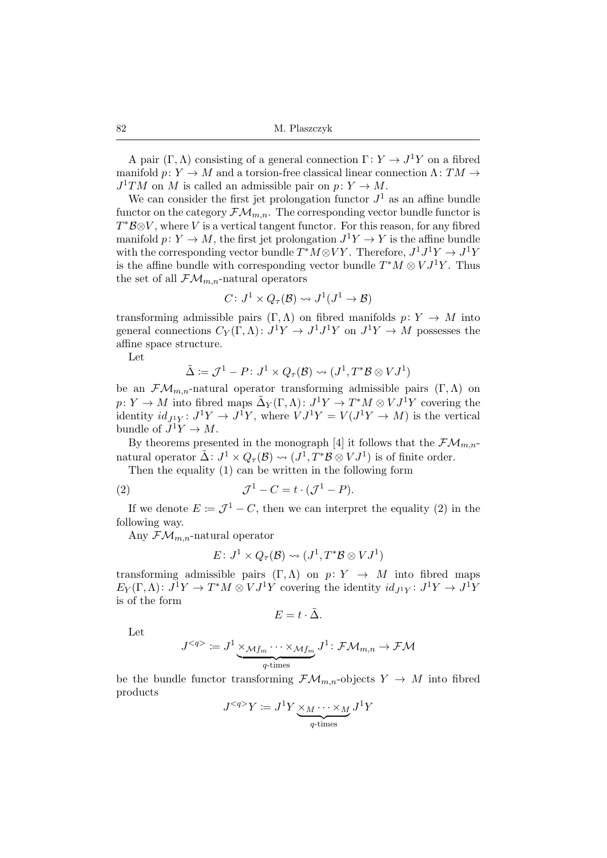A pair  $(\Gamma, \Lambda)$  consisting of a general connection  $\Gamma: Y \to J^1Y$  on a fibred manifold  $p: Y \to M$  and a torsion-free classical linear connection  $\Lambda: TM \to$  $J^1TM$  on M is called an admissible pair on  $p: Y \to M$ .

We can consider the first jet prolongation functor  $J<sup>1</sup>$  as an affine bundle functor on the category  $\mathcal{FM}_{m,n}$ . The corresponding vector bundle functor is  $T^*B \otimes V$ , where V is a vertical tangent functor. For this reason, for any fibred manifold  $p: Y \to M$ , the first jet prolongation  $J^1 Y \to Y$  is the affine bundle with the corresponding vector bundle  $T^*M \otimes VY$ . Therefore,  $J^1J^1Y \to J^1Y$ is the affine bundle with corresponding vector bundle  $T^*M \otimes VJ^1Y$ . Thus the set of all  $\mathcal{FM}_{m,n}$ -natural operators

$$
C\colon J^1\times Q_\tau(\mathcal{B})\leadsto J^1(J^1\to\mathcal{B})
$$

transforming admissible pairs  $(\Gamma, \Lambda)$  on fibred manifolds  $p: Y \to M$  into general connections  $C_Y(\Gamma,\Lambda): J^1Y \to J^1J^1Y$  on  $J^1Y \to M$  possesses the affine space structure.

Let

$$
\tilde{\Delta} \coloneqq \mathcal{J}^1 - P \colon J^1 \times Q_{\tau}(\mathcal{B}) \rightsquigarrow (J^1, T^* \mathcal{B} \otimes V J^1)
$$

be an  $\mathcal{F}\mathcal{M}_{m,n}$ -natural operator transforming admissible pairs  $(\Gamma,\Lambda)$  on  $p: Y \to M$  into fibred maps  $\tilde{\Delta}_Y(\Gamma, \Lambda) \colon J^1 Y \to T^* M \otimes V J^1 Y$  covering the identity  $id_{J_1^1Y}: J^1Y \to J^1Y$ , where  $VJ^1Y = V(J^1Y \to M)$  is the vertical bundle of  $J^1Y \to M$ .

By theorems presented in the monograph [4] it follows that the  $\mathcal{FM}_{m,n-1}$ natural operator  $\tilde{\Delta}$ :  $J^1 \times Q_{\tau}(\mathcal{B}) \rightsquigarrow (J^1, T^* \mathcal{B} \otimes V J^1)$  is of finite order.

Then the equality (1) can be written in the following form

(2) 
$$
\mathcal{J}^1 - C = t \cdot (\mathcal{J}^1 - P).
$$

If we denote  $E := \mathcal{J}^1 - C$ , then we can interpret the equality (2) in the following way.

Any  $\mathcal{FM}_{m,n}$ -natural operator

$$
E\colon J^1\times Q_\tau(\mathcal{B})\rightsquigarrow (J^1,T^*\mathcal{B}\otimes VJ^1)
$$

transforming admissible pairs  $(\Gamma, \Lambda)$  on  $p: Y \to M$  into fibred maps  $E_Y(\Gamma,\Lambda): J^1Y \to T^*M \otimes VJ^1Y$  covering the identity  $id_{J^1Y}: J^1Y \to J^1Y$ is of the form

$$
E=t\cdot \tilde{\Delta}.
$$

Let

$$
J^{} \coloneqq J^1\underbrace{\times_{\mathcal{M}f_m}\cdots\times_{\mathcal{M}f_m}}_{q\text{-times}}J^1\colon \mathcal{F}\mathcal{M}_{m,n}\to \mathcal{F}\mathcal{M}
$$

be the bundle functor transforming  $\mathcal{FM}_{m,n}$ -objects  $Y \to M$  into fibred products

$$
J^{}Y := J^{1}Y \underbrace{\times_{M} \cdots \times_{M}}_{q\text{-times}} J^{1}Y
$$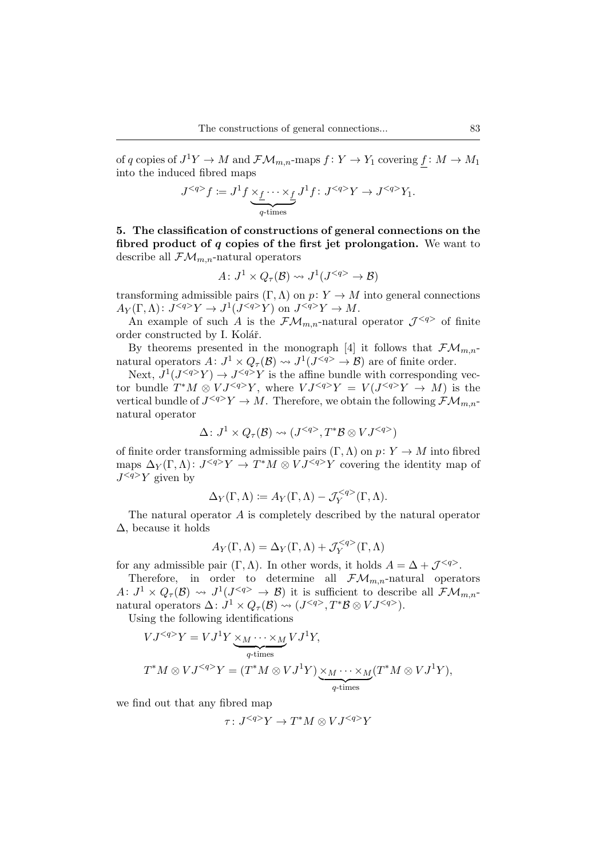of q copies of  $J^1Y \to M$  and  $\mathcal{FM}_{m,n}$ -maps  $f: Y \to Y_1$  covering  $\underline{f}: M \to M_1$ into the induced fibred maps

$$
J^{}f := J^1f \underbrace{\times_f \cdots \times_f}_{q\text{-times}} J^1f : J^{}Y \to J^{}Y_1.
$$

**5. The classification of constructions of general connections on the fibred product of** q **copies of the first jet prolongation.** We want to describe all  $\mathcal{FM}_{m,n}$ -natural operators

$$
A\colon J^1 \times Q_{\tau}(\mathcal{B}) \rightsquigarrow J^1(J^{} \to \mathcal{B})
$$

transforming admissible pairs  $(\Gamma, \Lambda)$  on  $p: Y \to M$  into general connections  $A_Y(\Gamma,\Lambda): J^{}Y \to J^1(J^{}Y)$  on  $J^{}Y \to M$ .

An example of such A is the  $\mathcal{FM}_{m,n}$ -natural operator  $\mathcal{J}^{}$  of finite order constructed by I. Kolář.

By theorems presented in the monograph [4] it follows that  $\mathcal{FM}_{m,n-1}$ natural operators  $A: J^1 \times Q_{\tau}(\mathcal{B}) \rightarrow J^1(J^{\leq q>} \rightarrow \mathcal{B})$  are of finite order.

Next,  $J^1(J^{}Y) \to J^{}Y$  is the affine bundle with corresponding vector bundle  $T^*M \otimes VJ^{}Y$ , where  $VJ^{}Y = V(J^{}Y \rightarrow M)$  is the vertical bundle of  $J^{}Y \to M$ . Therefore, we obtain the following  $\mathcal{FM}_{m,n}$ natural operator

$$
\Delta\colon J^1\times Q_\tau(\mathcal{B})\leadsto (J^{}, T^*\mathcal{B}\otimes VJ^{})
$$

of finite order transforming admissible pairs  $(\Gamma, \Lambda)$  on  $p: Y \to M$  into fibred maps  $\Delta_Y(\Gamma,\Lambda): J^{}Y \to T^*M \otimes VJ^{}Y$  covering the identity map of  $J^{}Y$  given by

$$
\Delta_Y(\Gamma,\Lambda) \coloneqq A_Y(\Gamma,\Lambda) - \mathcal{J}_Y^{}(\Gamma,\Lambda).
$$

The natural operator A is completely described by the natural operator  $\Delta$ , because it holds

$$
A_Y(\Gamma,\Lambda) = \Delta_Y(\Gamma,\Lambda) + \mathcal{J}_Y^{}(\Gamma,\Lambda)
$$

for any admissible pair  $(\Gamma, \Lambda)$ . In other words, it holds  $A = \Delta + \mathcal{J}^{}$ .

Therefore, in order to determine all  $\mathcal{FM}_{m,n}$ -natural operators  $A: J^1 \times Q_{\tau}(\mathcal{B}) \rightsquigarrow J^1(J^{} \rightarrow \mathcal{B})$  it is sufficient to describe all  $\mathcal{FM}_{m,n}$ natural operators  $\Delta: J^1 \times Q_{\tau}(\mathcal{B}) \rightsquigarrow (J^{\leq q>} , T^* \mathcal{B} \otimes V J^{\leq q>} ).$ 

Using the following identifications

$$
VJ^{}Y = VJ^{1}Y \underbrace{\times_{M} \cdots \times_{M}}_{q\text{-times}} VJ^{1}Y,
$$
  

$$
T^{*}M \otimes VJ^{}Y = (T^{*}M \otimes VJ^{1}Y) \underbrace{\times_{M} \cdots \times_{M}}_{q\text{-times}} (T^{*}M \otimes VJ^{1}Y),
$$

we find out that any fibred map

$$
\tau\colon J^{}Y\to T^*M\otimes VJ^{}Y
$$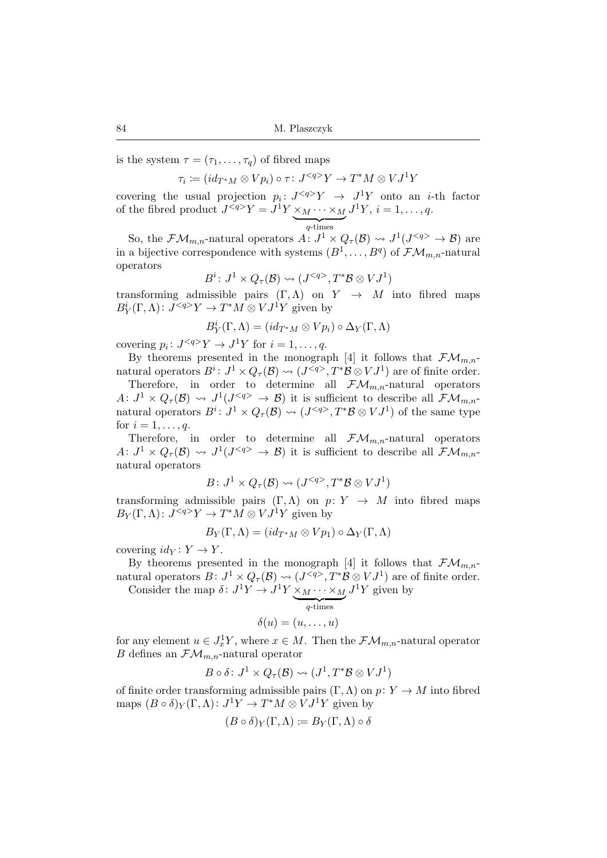is the system  $\tau = (\tau_1, \ldots, \tau_q)$  of fibred maps

 $\tau_i \coloneqq (id_{T^*M}\otimes Vp_i)\circ \tau\colon J^{< q> }Y\to T^*M \otimes VJ^1Y$ 

covering the usual projection  $p_i: J^{}Y \rightarrow J^1Y$  onto an *i*-th factor of the fibred product  $J^{}Y = J^1Y \times_M \cdots \times_M$  $q$ -times  $J^1Y, i = 1, \ldots, q.$ 

So, the  $\mathcal{F}\mathcal{M}_{m,n}$ -natural operators  $A: J^1 \times Q_{\tau}(\mathcal{B}) \rightsquigarrow J^1(J^{\leq q} \rightarrow \mathcal{B})$  are in a bijective correspondence with systems  $(B^1, \ldots, B^q)$  of  $\mathcal{FM}_{m,n}$ -natural operators

$$
B^i\colon J^1\times Q_\tau(\mathcal{B})\leadsto (J^{}, T^*\mathcal{B}\otimes VJ^1)
$$

transforming admissible pairs  $(\Gamma, \Lambda)$  on  $Y \to M$  into fibred maps  $B_Y^i(\Gamma,\Lambda)$ :  $J^{}Y \to T^*M \otimes VJ^1Y$  given by

$$
B_Y^i(\Gamma,\Lambda)=(id_{T^*M}\otimes Vp_i)\circ\Delta_Y(\Gamma,\Lambda)
$$

covering  $p_i: J^{}Y \to J^1Y$  for  $i = 1, ..., q$ .

By theorems presented in the monograph [4] it follows that  $\mathcal{FM}_{m,n-1}$ natural operators  $B^i: J^1 \times Q_{\tau}(\mathcal{B}) \rightsquigarrow (J^{}, T^*\mathcal{B} \otimes VJ^1)$  are of finite order.

Therefore, in order to determine all  $\mathcal{FM}_{m,n}$ -natural operators  $A: J^1 \times Q_{\tau}(\mathcal{B}) \rightsquigarrow J^1(J^{} \rightarrow \mathcal{B})$  it is sufficient to describe all  $\mathcal{FM}_{m,n}$ natural operators  $B^i: J^1 \times Q_{\tau}(\mathcal{B}) \rightsquigarrow (J^{\leq q>} , T^* \mathcal{B} \otimes V J^1)$  of the same type for  $i = 1, \ldots, q$ .

Therefore, in order to determine all  $\mathcal{FM}_{m,n}$ -natural operators  $A: J^1 \times Q_{\tau}(\mathcal{B}) \rightsquigarrow J^1(J^{} \rightarrow \mathcal{B})$  it is sufficient to describe all  $\mathcal{FM}_{m,n}$ natural operators

$$
B\colon J^1\times Q_\tau(\mathcal{B})\rightsquigarrow (J^{}, T^*\mathcal{B}\otimes VJ^1)
$$

transforming admissible pairs  $(\Gamma, \Lambda)$  on  $p: Y \to M$  into fibred maps  $B_Y(\Gamma,\Lambda)$ :  $J^{}Y \to T^*M \otimes VJ^1Y$  given by

$$
B_Y(\Gamma,\Lambda)=(id_{T^*M}\otimes Vp_1)\circ\Delta_Y(\Gamma,\Lambda)
$$

covering  $id_Y: Y \to Y$ .

By theorems presented in the monograph [4] it follows that  $\mathcal{FM}_{m,n-1}$ natural operators  $B: J^1 \times Q_{\tau}(\mathcal{B}) \rightsquigarrow (J^{\langle q \rangle}, T^*\mathcal{B} \otimes VJ^1)$  are of finite order.

Consider the map  $\delta: J^1 Y \to J^1 Y \times_M \cdots \times_M J^1 Y$  given by

$$
\delta(u) = (u, \dots, u)
$$

for any element  $u \in J_x^1 Y$ , where  $x \in M$ . Then the  $\mathcal{FM}_{m,n}$ -natural operator B defines an  $\mathcal{FM}_{m,n}$ -natural operator

$$
B \circ \delta \colon J^1 \times Q_{\tau}(\mathcal{B}) \rightsquigarrow (J^1, T^* \mathcal{B} \otimes V J^1)
$$

of finite order transforming admissible pairs  $(\Gamma, \Lambda)$  on  $p: Y \to M$  into fibred maps  $(B \circ \delta)_Y(\Gamma, \Lambda) : J^1 Y \to T^* M \otimes V J^1 Y$  given by

$$
(B \circ \delta)_Y(\Gamma, \Lambda) \coloneqq B_Y(\Gamma, \Lambda) \circ \delta
$$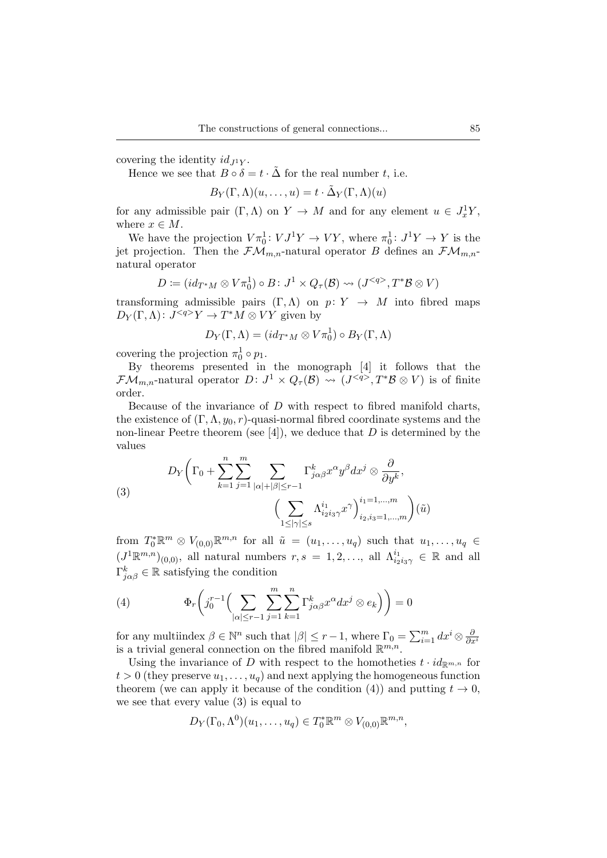covering the identity  $id_{I}Y$ .

Hence we see that  $B \circ \delta = t \cdot \tilde{\Delta}$  for the real number t, i.e.

$$
B_Y(\Gamma,\Lambda)(u,\ldots,u)=t\cdot\tilde{\Delta}_Y(\Gamma,\Lambda)(u)
$$

for any admissible pair  $(\Gamma, \Lambda)$  on  $Y \to M$  and for any element  $u \in J_x^1 Y$ , where  $x \in M$ .

We have the projection  $V\pi_0^1: VJ^1Y \to VY$ , where  $\pi_0^1: J^1Y \to Y$  is the jet projection. Then the  $\mathcal{F}\mathcal{M}_{m,n}$ -natural operator B defines an  $\mathcal{F}\mathcal{M}_{m,n}$ natural operator

$$
D \coloneqq (id_{T^*M} \otimes V\pi_0^1) \circ B \colon J^1 \times Q_{\tau}(\mathcal{B}) \rightsquigarrow (J^{}, T^*\mathcal{B} \otimes V)
$$

transforming admissible pairs  $(\Gamma, \Lambda)$  on  $p: Y \to M$  into fibred maps  $D_Y(\Gamma,\Lambda)$ :  $J^{}Y \to T^*M \otimes VY$  given by

$$
D_Y(\Gamma,\Lambda)=(id_{T^*M}\otimes V\pi_0^1)\circ B_Y(\Gamma,\Lambda)
$$

covering the projection  $\pi_0^1 \circ p_1$ .

By theorems presented in the monograph [4] it follows that the  $\mathcal{F}\mathcal{M}_{m,n}$ -natural operator  $D: J^1 \times Q_{\tau}(\mathcal{B}) \rightsquigarrow (J^{\leq q>} , T^*\mathcal{B} \otimes V)$  is of finite order.

Because of the invariance of  $D$  with respect to fibred manifold charts, the existence of  $(\Gamma, \Lambda, y_0, r)$ -quasi-normal fibred coordinate systems and the non-linear Peetre theorem (see [4]), we deduce that D is determined by the values

(3)  

$$
D_{Y}\left(\Gamma_{0}+\sum_{k=1}^{n}\sum_{j=1}^{m}\sum_{|\alpha|+|\beta|\leq r-1}\Gamma_{j\alpha\beta}^{k}x^{\alpha}y^{\beta}dx^{j}\otimes\frac{\partial}{\partial y^{k}},\left(\sum_{1\leq|\gamma|\leq s}\Lambda_{i_{2}i_{3}\gamma}^{i_{1}}x^{\gamma}\right)_{i_{2},i_{3}=1,...,m}^{i_{1}=1,...,m}\right)(\tilde{u})
$$

from  $T_0^* \mathbb{R}^m \otimes V_{(0,0)} \mathbb{R}^{m,n}$  for all  $\tilde{u} = (u_1, \ldots, u_q)$  such that  $u_1, \ldots, u_q \in$  $(J^1\mathbb{R}^{m,n})_{(0,0)}$ , all natural numbers  $r, s = 1, 2, \ldots$ , all  $\Lambda_{i_2i_3\gamma}^{i_1} \in \mathbb{R}$  and all  $\Gamma_{j\alpha\beta}^{k} \in \mathbb{R}$  satisfying the condition

(4) 
$$
\Phi_r\bigg(j_0^{r-1}\Big(\sum_{|\alpha|\leq r-1}\sum_{j=1}^m\sum_{k=1}^n\Gamma_{j\alpha\beta}^k x^{\alpha}dx^j\otimes e_k\Big)\bigg)=0
$$

for any multiindex  $\beta \in \mathbb{N}^n$  such that  $|\beta| \leq r-1$ , where  $\Gamma_0 = \sum_{i=1}^m dx^i \otimes \frac{\partial}{\partial x^i}$ is a trivial general connection on the fibred manifold  $\mathbb{R}^{m,n}$ .

Using the invariance of D with respect to the homotheties  $t \cdot id_{\mathbb{R}^{m,n}}$  for  $t > 0$  (they preserve  $u_1, \ldots, u_q$ ) and next applying the homogeneous function theorem (we can apply it because of the condition (4)) and putting  $t \to 0$ , we see that every value (3) is equal to

$$
D_Y(\Gamma_0, \Lambda^0)(u_1, \ldots, u_q) \in T_0^* \mathbb{R}^m \otimes V_{(0,0)} \mathbb{R}^{m,n},
$$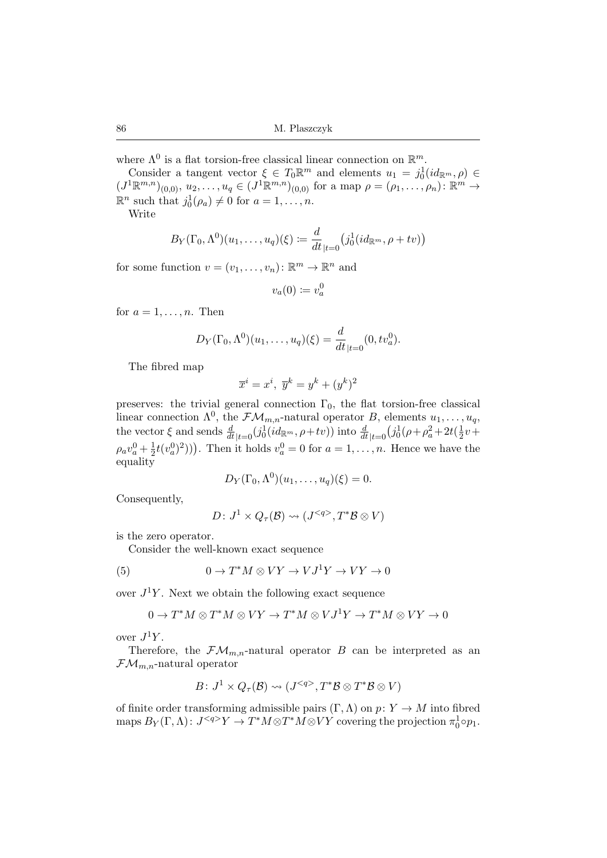where  $\Lambda^0$  is a flat torsion-free classical linear connection on  $\mathbb{R}^m$ .

Consider a tangent vector  $\xi \in T_0 \mathbb{R}^m$  and elements  $u_1 = j_0^1(id_{\mathbb{R}^m}, \rho) \in$  $(J^1\mathbb{R}^{m,n})_{(0,0)}, u_2, \ldots, u_q \in (J^1\mathbb{R}^{m,n})_{(0,0)}$  for a map  $\rho = (\rho_1, \ldots, \rho_n) : \mathbb{R}^m \to$  $\mathbb{R}^n$  such that  $j_0^1(\rho_a) \neq 0$  for  $a = 1, \ldots, n$ .

Write

$$
B_Y(\Gamma_0,\Lambda^0)(u_1,\ldots,u_q)(\xi) \coloneqq \frac{d}{dt}_{|t=0} \big(j_0^1(id_{\mathbb{R}^m},\rho+tv)\big)
$$

for some function  $v = (v_1, \dots, v_n) : \mathbb{R}^m \to \mathbb{R}^n$  and

$$
v_a(0) \coloneqq v_a^0
$$

for  $a = 1, \ldots, n$ . Then

$$
D_Y(\Gamma_0, \Lambda^0)(u_1, \ldots, u_q)(\xi) = \frac{d}{dt}_{|t=0}(0, tv_a^0).
$$

The fibred map

$$
\overline{x}^i = x^i, \ \overline{y}^k = y^k + (y^k)^2
$$

preserves: the trivial general connection  $\Gamma_0$ , the flat torsion-free classical linear connection  $\Lambda^0$ , the  $\mathcal{FM}_{m,n}$ -natural operator B, elements  $u_1, \ldots, u_q$ , the vector  $\xi$  and sends  $\frac{d}{dt}|_{t=0}(j_0^1(id_{\mathbb{R}^m}, \rho + tv))$  into  $\frac{d}{dt}|_{t=0}(j_0^1(\rho + \rho_a^2 + 2t(\frac{1}{2}$  $rac{1}{2}v +$  $\rho_a v_a^0 + \frac{1}{2}$  $(\frac{1}{2}t(v_a^0)^2))$ . Then it holds  $v_a^0 = 0$  for  $a = 1, \ldots, n$ . Hence we have the equality

$$
D_Y(\Gamma_0, \Lambda^0)(u_1, \ldots, u_q)(\xi) = 0.
$$

Consequently,

$$
D\colon J^1\times Q_{\tau}(\mathcal{B})\rightsquigarrow (J^{}, T^*\mathcal{B}\otimes V)
$$

is the zero operator.

Consider the well-known exact sequence

(5) 
$$
0 \to T^*M \otimes VY \to VJ^1Y \to VY \to 0
$$

over  $J^1Y$ . Next we obtain the following exact sequence

$$
0 \to T^*M \otimes T^*M \otimes VY \to T^*M \otimes VJ^1Y \to T^*M \otimes VY \to 0
$$

over  $J^1Y$ .

Therefore, the  $\mathcal{F}\mathcal{M}_{m,n}$ -natural operator B can be interpreted as an  $\mathcal{FM}_{m,n}$ -natural operator

$$
B\colon J^1\times Q_\tau(\mathcal{B})\leadsto (J^{}, T^*\mathcal{B}\otimes T^*\mathcal{B}\otimes V)
$$

of finite order transforming admissible pairs  $(\Gamma, \Lambda)$  on  $p: Y \to M$  into fibred maps  $B_Y(\Gamma,\Lambda)$ :  $J^{}Y \to T^*M \otimes T^*M \otimes VY$  covering the projection  $\pi_0^1 \circ p_1$ .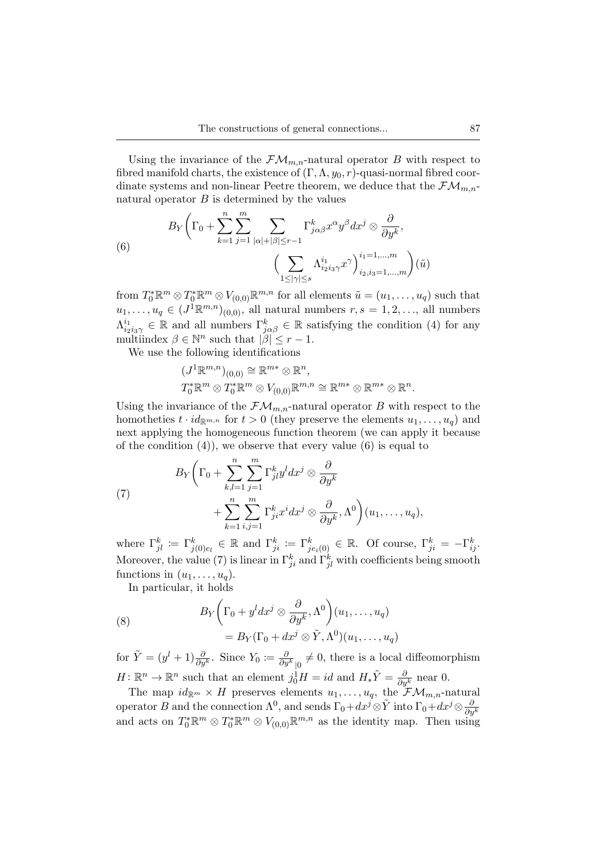Using the invariance of the  $\mathcal{FM}_{m,n}$ -natural operator B with respect to fibred manifold charts, the existence of  $(\Gamma, \Lambda, y_0, r)$ -quasi-normal fibred coordinate systems and non-linear Peetre theorem, we deduce that the  $\mathcal{FM}_{m,n-1}$ natural operator  $B$  is determined by the values

(6) 
$$
B_Y \left( \Gamma_0 + \sum_{k=1}^n \sum_{j=1}^m \sum_{|\alpha|+|\beta| \le r-1} \Gamma_{j\alpha\beta}^k x^{\alpha} y^{\beta} dx^j \otimes \frac{\partial}{\partial y^k}, \left( \sum_{1 \le |\gamma| \le s} \Lambda_{i_2 i_3 \gamma}^{i_1} x^{\gamma} \right)_{i_2, i_3 = 1, \dots, m}^{i_1 = 1, \dots, m} \right) (\tilde{u})
$$

from  $T_0^* \mathbb{R}^m \otimes T_0^* \mathbb{R}^m \otimes V_{(0,0)} \mathbb{R}^{m,n}$  for all elements  $\tilde{u} = (u_1, \ldots, u_q)$  such that  $u_1, \ldots, u_q \in (J^1 \mathbb{R}^{m,n})_{(0,0)}$ , all natural numbers  $r, s = 1, 2, \ldots$ , all numbers  $\Lambda_{i_2i_3\gamma}^{i_1} \in \mathbb{R}$  and all numbers  $\Gamma_{j\alpha\beta}^k \in \mathbb{R}$  satisfying the condition (4) for any multiindex  $\beta \in \mathbb{N}^n$  such that  $|\beta| \leq r - 1$ .

We use the following identifications

$$
(J^1\mathbb{R}^{m,n})_{(0,0)} \cong \mathbb{R}^{m*} \otimes \mathbb{R}^n,
$$
  

$$
T_0^*\mathbb{R}^m \otimes T_0^*\mathbb{R}^m \otimes V_{(0,0)}\mathbb{R}^{m,n} \cong \mathbb{R}^{m*} \otimes \mathbb{R}^{m*} \otimes \mathbb{R}^n.
$$

Using the invariance of the  $\mathcal{FM}_{m,n}$ -natural operator B with respect to the homotheties  $t \cdot id_{\mathbb{R}^{m,n}}$  for  $t > 0$  (they preserve the elements  $u_1, \ldots, u_q$ ) and next applying the homogeneous function theorem (we can apply it because of the condition  $(4)$ , we observe that every value  $(6)$  is equal to

(7) 
$$
B_Y \left( \Gamma_0 + \sum_{k,l=1}^n \sum_{j=1}^m \Gamma_{jl}^k y^l dx^j \otimes \frac{\partial}{\partial y^k} + \sum_{k=1}^n \sum_{i,j=1}^m \Gamma_{ji}^k x^i dx^j \otimes \frac{\partial}{\partial y^k}, \Lambda^0 \right) (u_1, \ldots, u_q),
$$

where  $\Gamma_{jl}^k := \Gamma_{j(0)e_l}^k \in \mathbb{R}$  and  $\Gamma_{ji}^k := \Gamma_{je_i(0)}^k \in \mathbb{R}$ . Of course,  $\Gamma_{ji}^k = -\Gamma_{ij}^k$ . Moreover, the value (7) is linear in  $\Gamma_{ji}^k$  and  $\Gamma_{jl}^k$  with coefficients being smooth functions in  $(u_1, \ldots, u_n)$ .

In particular, it holds

(8)  

$$
B_Y \left( \Gamma_0 + y^l dx^j \otimes \frac{\partial}{\partial y^k}, \Lambda^0 \right) (u_1, \dots, u_q)
$$

$$
= B_Y (\Gamma_0 + dx^j \otimes \tilde{Y}, \Lambda^0) (u_1, \dots, u_q)
$$

for  $\tilde{Y} = (y^l + 1) \frac{\partial}{\partial y^k}$ . Since  $Y_0 \coloneqq \frac{\partial}{\partial y^k}_{\vert 0} \neq 0$ , there is a local diffeomorphism  $H: \mathbb{R}^n \to \mathbb{R}^n$  such that an element  $j_0^1 H = id$  and  $H_*\tilde{Y} = \frac{\partial}{\partial y^k}$  near 0.

The map  $id_{\mathbb{R}^m} \times H$  preserves elements  $u_1, \ldots, u_q$ , the  $\mathcal{F}\mathcal{M}_{m,n}$ -natural operator B and the connection  $\Lambda^0$ , and sends  $\Gamma_0+dx^j\otimes \tilde Y$  into  $\Gamma_0+dx^j\otimes \frac{\partial}{\partial y^k}$ and acts on  $T_0^* \mathbb{R}^m \otimes T_0^* \mathbb{R}^m \otimes V_{(0,0)} \mathbb{R}^{m,n}$  as the identity map. Then using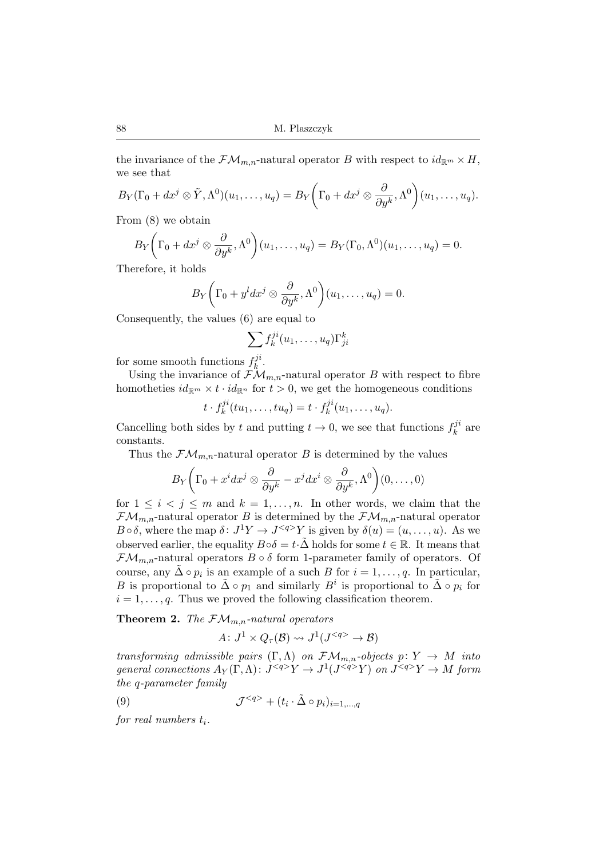the invariance of the  $\mathcal{FM}_{m,n}$ -natural operator B with respect to  $id_{\mathbb{R}^m}\times H$ , we see that

$$
B_Y(\Gamma_0+dx^j\otimes \tilde{Y},\Lambda^0)(u_1,\ldots,u_q)=B_Y\bigg(\Gamma_0+dx^j\otimes \frac{\partial}{\partial y^k},\Lambda^0\bigg)(u_1,\ldots,u_q).
$$

From (8) we obtain

$$
B_Y\bigg(\Gamma_0+dx^j\otimes\frac{\partial}{\partial y^k},\Lambda^0\bigg)(u_1,\ldots,u_q)=B_Y(\Gamma_0,\Lambda^0)(u_1,\ldots,u_q)=0.
$$

Therefore, it holds

$$
B_Y\bigg(\Gamma_0+y^ldx^j\otimes\frac{\partial}{\partial y^k},\Lambda^0\bigg)(u_1,\ldots,u_q)=0.
$$

Consequently, the values (6) are equal to

$$
\sum_{i} f_k^{ji}(u_1,\ldots,u_q) \Gamma_{ji}^k
$$

for some smooth functions  $f_k^{ji}$  $k^{\prime}$  .

Using the invariance of  $\mathcal{F}\mathcal{M}_{m,n}$ -natural operator B with respect to fibre homotheties  $id_{\mathbb{R}^m} \times t \cdot id_{\mathbb{R}^n}$  for  $t > 0$ , we get the homogeneous conditions

$$
t \cdot f_k^{ji}(tu_1,\ldots,tu_q) = t \cdot f_k^{ji}(u_1,\ldots,u_q).
$$

Cancelling both sides by t and putting  $t \to 0$ , we see that functions  $f_k^{ji}$  $k^{j}$  are constants.

Thus the  $\mathcal{FM}_{m,n}$ -natural operator B is determined by the values

$$
B_Y\bigg(\Gamma_0 + x^i dx^j \otimes \frac{\partial}{\partial y^k} - x^j dx^i \otimes \frac{\partial}{\partial y^k}, \Lambda^0\bigg)(0,\ldots,0)
$$

for  $1 \leq i < j \leq m$  and  $k = 1, ..., n$ . In other words, we claim that the  $\mathcal{F}\mathcal{M}_{m,n}$ -natural operator B is determined by the  $\mathcal{F}\mathcal{M}_{m,n}$ -natural operator  $B \circ \delta$ , where the map  $\delta: J^1 Y \to J^{} Y$  is given by  $\delta(u) = (u, \ldots, u)$ . As we observed earlier, the equality  $B \circ \delta = t \cdot \tilde{\Delta}$  holds for some  $t \in \mathbb{R}$ . It means that  $\mathcal{FM}_{m,n}$ -natural operators  $B \circ \delta$  form 1-parameter family of operators. Of course, any  $\tilde{\Delta} \circ p_i$  is an example of a such B for  $i = 1, \ldots, q$ . In particular, B is proportional to  $\tilde{\Delta} \circ p_1$  and similarly  $B^i$  is proportional to  $\tilde{\Delta} \circ p_i$  for  $i = 1, \ldots, q$ . Thus we proved the following classification theorem.

**Theorem 2.** *The*  $\mathcal{FM}_{m,n}$ -natural operators

$$
A\colon J^1 \times Q_{\tau}(\mathcal{B}) \rightsquigarrow J^1(J^{} \to \mathcal{B})
$$

*transforming admissible pairs*  $(\Gamma, \Lambda)$  *on*  $\mathcal{FM}_{m,n}$ *-objects*  $p: Y \to M$  *into*  $general$  connections  $A_Y(\Gamma, \Lambda) \colon J^{}Y \to J^1(J^{}Y)$  on  $J^{}Y \to M$  form *the* q*-parameter family*

(9) 
$$
\mathcal{J}^{} + (t_i \cdot \tilde{\Delta} \circ p_i)_{i=1,\dots,q}
$$

*for real numbers t<sub>i</sub>.*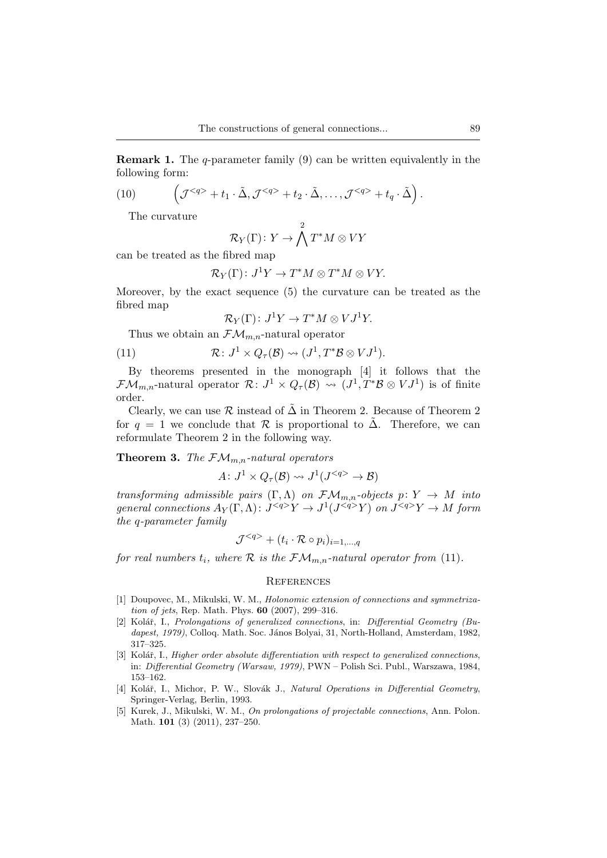**Remark 1.** The q-parameter family (9) can be written equivalently in the following form:

(10) 
$$
\left(\mathcal{J}^{}+t_1\cdot \tilde{\Delta}, \mathcal{J}^{}+t_2\cdot \tilde{\Delta}, \ldots, \mathcal{J}^{}+t_q\cdot \tilde{\Delta}\right).
$$

The curvature

$$
\mathcal{R}_Y(\Gamma)\colon Y\to \bigwedge^2T^*M\otimes VY
$$

can be treated as the fibred map

$$
\mathcal{R}_Y(\Gamma) \colon J^1 Y \to T^* M \otimes T^* M \otimes V Y.
$$

Moreover, by the exact sequence (5) the curvature can be treated as the fibred map

$$
\mathcal{R}_Y(\Gamma) \colon J^1 Y \to T^* M \otimes V J^1 Y.
$$

Thus we obtain an  $\mathcal{FM}_{m,n}$ -natural operator

(11) 
$$
\mathcal{R} \colon J^1 \times Q_{\tau}(\mathcal{B}) \rightsquigarrow (J^1, T^* \mathcal{B} \otimes V J^1).
$$

By theorems presented in the monograph [4] it follows that the  $\mathcal{F}\mathcal{M}_{m,n}$ -natural operator  $\mathcal{R}\colon J^1\times Q_{\tau}(\mathcal{B})\leadsto (J^1,T^*\mathcal{B}\otimes VJ^1)$  is of finite order.

Clearly, we can use R instead of  $\Delta$  in Theorem 2. Because of Theorem 2 for  $q = 1$  we conclude that R is proportional to  $\Delta$ . Therefore, we can reformulate Theorem 2 in the following way.

**Theorem 3.** *The*  $\mathcal{FM}_{m,n}$ -natural operators

 $A\colon J^1\times Q_\tau(\mathcal{B})\leadsto J^1(J^{}\to\mathcal{B})$ 

*transforming admissible pairs*  $(\Gamma, \Lambda)$  *on*  $\mathcal{F}\mathcal{M}_{m,n}$ *-objects*  $p: Y \to M$  *into*  $general$  connections  $A_Y(\Gamma, \Lambda)$ :  $J^{}Y \to J^1(J^{}Y)$  on  $J^{}Y \to M$  form *the* q*-parameter family*

$$
\mathcal{J}^{} + (t_i \cdot \mathcal{R} \circ p_i)_{i=1,\dots,q}
$$

*for real numbers*  $t_i$ *, where*  $\mathcal R$  *is the*  $\mathcal FM_{m,n}$ *-natural operator from* (11)*.* 

#### **REFERENCES**

- [1] Doupovec, M., Mikulski, W. M., *Holonomic extension of connections and symmetrization of jets*, Rep. Math. Phys. **60** (2007), 299–316.
- [2] Kolář, I., *Prolongations of generalized connections*, in: *Differential Geometry (Bu*dapest, 1979), Colloq. Math. Soc. János Bolyai, 31, North-Holland, Amsterdam, 1982, 317–325.
- [3] Kolář, I., *Higher order absolute differentiation with respect to generalized connections*, in: *Differential Geometry (Warsaw, 1979)*, PWN – Polish Sci. Publ., Warszawa, 1984, 153–162.
- [4] Kolář, I., Michor, P. W., Slovák J., *Natural Operations in Differential Geometry*, Springer-Verlag, Berlin, 1993.
- [5] Kurek, J., Mikulski, W. M., *On prolongations of projectable connections*, Ann. Polon. Math. **101** (3) (2011), 237–250.